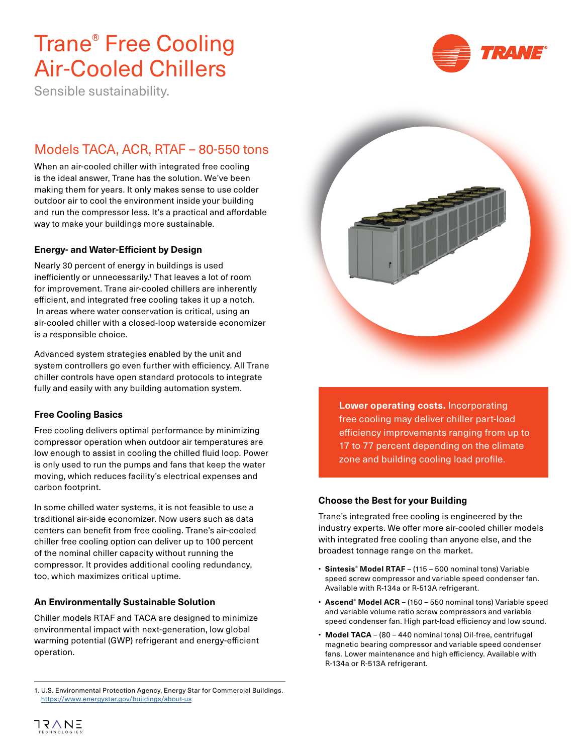# Trane® Free Cooling Air-Cooled Chillers



Sensible sustainability.

## Models TACA, ACR, RTAF – 80-550 tons

When an air-cooled chiller with integrated free cooling is the ideal answer, Trane has the solution. We've been making them for years. It only makes sense to use colder outdoor air to cool the environment inside your building and run the compressor less. It's a practical and affordable way to make your buildings more sustainable.

#### **Energy- and Water-Efficient by Design**

Nearly 30 percent of energy in buildings is used inefficiently or unnecessarily.1 That leaves a lot of room for improvement. Trane air-cooled chillers are inherently efficient, and integrated free cooling takes it up a notch. In areas where water conservation is critical, using an air-cooled chiller with a closed-loop waterside economizer is a responsible choice.

Advanced system strategies enabled by the unit and system controllers go even further with efficiency. All Trane chiller controls have open standard protocols to integrate fully and easily with any building automation system.

#### **Free Cooling Basics**

Free cooling delivers optimal performance by minimizing compressor operation when outdoor air temperatures are low enough to assist in cooling the chilled fluid loop. Power is only used to run the pumps and fans that keep the water moving, which reduces facility's electrical expenses and carbon footprint.

In some chilled water systems, it is not feasible to use a traditional air-side economizer. Now users such as data centers can benefit from free cooling. Trane's air-cooled chiller free cooling option can deliver up to 100 percent of the nominal chiller capacity without running the compressor. It provides additional cooling redundancy, too, which maximizes critical uptime.

#### **An Environmentally Sustainable Solution**

Chiller models RTAF and TACA are designed to minimize environmental impact with next-generation, low global warming potential (GWP) refrigerant and energy-efficient operation.



**Lower operating costs.** Incorporating free cooling may deliver chiller part-load efficiency improvements ranging from up to 17 to 77 percent depending on the climate zone and building cooling load profile.

#### **Choose the Best for your Building**

Trane's integrated free cooling is engineered by the industry experts. We offer more air-cooled chiller models with integrated free cooling than anyone else, and the broadest tonnage range on the market.

- **Sintesis® Model RTAF** (115 500 nominal tons) Variable speed screw compressor and variable speed condenser fan. Available with R-134a or R-513A refrigerant.
- **Ascend® Model ACR** (150 550 nominal tons) Variable speed and variable volume ratio screw compressors and variable speed condenser fan. High part-load efficiency and low sound.
- **Model TACA** (80 440 nominal tons) Oil-free, centrifugal magnetic bearing compressor and variable speed condenser fans. Lower maintenance and high efficiency. Available with R-134a or R-513A refrigerant.

<sup>1.</sup> U.S. Environmental Protection Agency, Energy Star for Commercial Buildings. <https://www.energystar.gov/buildings/about-us>